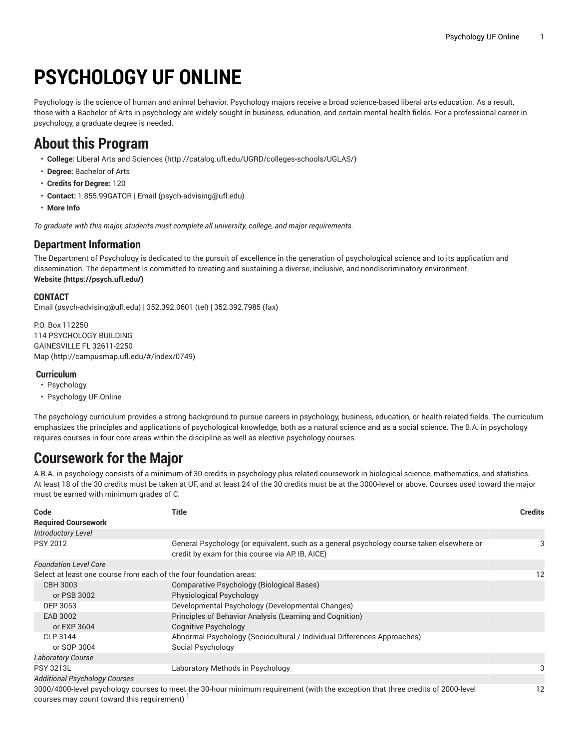# **PSYCHOLOGY UF ONLINE**

Psychology is the science of human and animal behavior. Psychology majors receive a broad science-based liberal arts education. As a result, those with a Bachelor of Arts in psychology are widely sought in business, education, and certain mental health fields. For a professional career in psychology, a graduate degree is needed.

### **About this Program**

- **College:** Liberal Arts and [Sciences](http://catalog.ufl.edu/UGRD/colleges-schools/UGLAS/) ([http://catalog.ufl.edu/UGRD/colleges-schools/UGLAS/\)](http://catalog.ufl.edu/UGRD/colleges-schools/UGLAS/)
- **Degree:** Bachelor of Arts
- **Credits for Degree:** 120
- **Contact:** 1.855.99GATOR | [Email](mailto:psych-advising@ufl.edu) [\(psych-advising@ufl.edu](psych-advising@ufl.edu))
- **More Info**

*To graduate with this major, students must complete all university, college, and major requirements.*

### **Department Information**

The Department of Psychology is dedicated to the pursuit of excellence in the generation of psychological science and to its application and dissemination. The department is committed to creating and sustaining a diverse, inclusive, and nondiscriminatory environment. **[Website](https://psych.ufl.edu/) (<https://psych.ufl.edu/>)**

#### **CONTACT**

[Email](mailto:psych-advising@ufl.edu) ([psych-advising@ufl.edu\)](psych-advising@ufl.edu) | 352.392.0601 (tel) | 352.392.7985 (fax)

P.O. Box 112250 114 PSYCHOLOGY BUILDING GAINESVILLE FL 32611-2250 [Map](http://campusmap.ufl.edu/#/index/0749) ([http://campusmap.ufl.edu/#/index/0749\)](http://campusmap.ufl.edu/#/index/0749)

#### **Curriculum**

- Psychology
- Psychology UF Online

The psychology curriculum provides a strong background to pursue careers in psychology, business, education, or health-related fields. The curriculum emphasizes the principles and applications of psychological knowledge, both as a natural science and as a social science. The B.A. in psychology requires courses in four core areas within the discipline as well as elective psychology courses.

## **Coursework for the Major**

A B.A. in psychology consists of a minimum of 30 credits in psychology plus related coursework in biological science, mathematics, and statistics. At least 18 of the 30 credits must be taken at UF, and at least 24 of the 30 credits must be at the 3000-level or above. Courses used toward the major must be earned with minimum grades of C.

| Code                                                               | Title                                                                                                                                         | <b>Credits</b> |
|--------------------------------------------------------------------|-----------------------------------------------------------------------------------------------------------------------------------------------|----------------|
| <b>Required Coursework</b>                                         |                                                                                                                                               |                |
| <b>Introductory Level</b>                                          |                                                                                                                                               |                |
| <b>PSY 2012</b>                                                    | General Psychology (or equivalent, such as a general psychology course taken elsewhere or<br>credit by exam for this course via AP, IB, AICE) | 3              |
| <b>Foundation Level Core</b>                                       |                                                                                                                                               |                |
| Select at least one course from each of the four foundation areas: |                                                                                                                                               | 12             |
| <b>CBH 3003</b>                                                    | <b>Comparative Psychology (Biological Bases)</b>                                                                                              |                |
| or PSB 3002                                                        | Physiological Psychology                                                                                                                      |                |
| DEP 3053                                                           | Developmental Psychology (Developmental Changes)                                                                                              |                |
| EAB 3002                                                           | Principles of Behavior Analysis (Learning and Cognition)                                                                                      |                |
| or EXP 3604                                                        | <b>Cognitive Psychology</b>                                                                                                                   |                |
| CLP 3144                                                           | Abnormal Psychology (Sociocultural / Individual Differences Approaches)                                                                       |                |
| or SOP 3004                                                        | Social Psychology                                                                                                                             |                |
| <b>Laboratory Course</b>                                           |                                                                                                                                               |                |
| <b>PSY 3213L</b>                                                   | Laboratory Methods in Psychology                                                                                                              |                |
| <b>Additional Psychology Courses</b>                               |                                                                                                                                               |                |
|                                                                    | 3000/4000-level psychology courses to meet the 30-hour minimum requirement (with the exception that three credits of 2000-level               | 12             |

3000/4000-level psychology courses to meet the 30-hour minimum requirement (with the exception that three credits of 2000-level courses may count toward this requirement)  $^\mathrm{l}$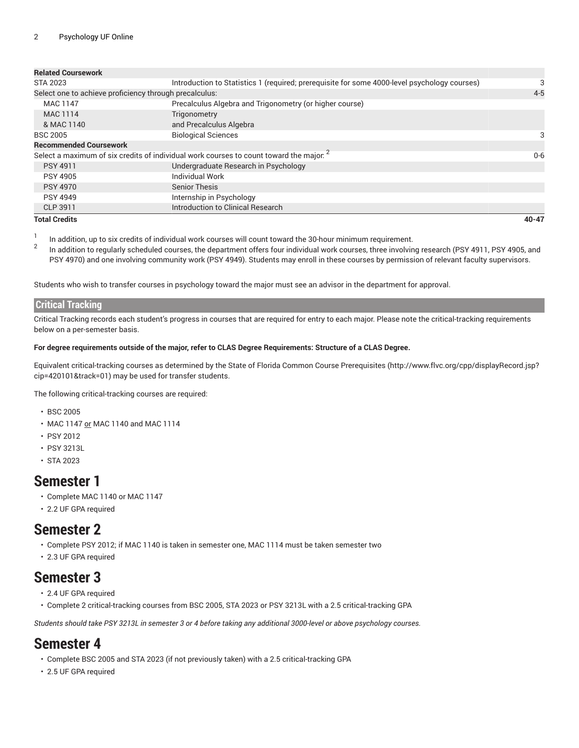| <b>Related Coursework</b>                              |                                                                                                    |           |  |
|--------------------------------------------------------|----------------------------------------------------------------------------------------------------|-----------|--|
| STA 2023                                               | Introduction to Statistics 1 (required; prerequisite for some 4000-level psychology courses)       |           |  |
| Select one to achieve proficiency through precalculus: |                                                                                                    | $4 - 5$   |  |
| MAC 1147                                               | Precalculus Algebra and Trigonometry (or higher course)                                            |           |  |
| MAC 1114                                               | Trigonometry                                                                                       |           |  |
| & MAC 1140                                             | and Precalculus Algebra                                                                            |           |  |
| <b>BSC 2005</b>                                        | <b>Biological Sciences</b>                                                                         | 3         |  |
| <b>Recommended Coursework</b>                          |                                                                                                    |           |  |
|                                                        | Select a maximum of six credits of individual work courses to count toward the major. <sup>2</sup> | $0 - 6$   |  |
| <b>PSY 4911</b>                                        | Undergraduate Research in Psychology                                                               |           |  |
| <b>PSY 4905</b>                                        | Individual Work                                                                                    |           |  |
| <b>PSY 4970</b>                                        | <b>Senior Thesis</b>                                                                               |           |  |
| <b>PSY 4949</b>                                        | Internship in Psychology                                                                           |           |  |
| CLP 3911                                               | Introduction to Clinical Research                                                                  |           |  |
| <b>Total Credits</b>                                   |                                                                                                    | $40 - 47$ |  |

1 In addition, up to six credits of individual work courses will count toward the 30-hour minimum requirement.

2 In addition to regularly scheduled courses, the department offers four individual work courses, three involving research (PSY 4911, PSY 4905, and PSY 4970) and one involving community work (PSY 4949). Students may enroll in these courses by permission of relevant faculty supervisors.

Students who wish to transfer courses in psychology toward the major must see an advisor in the department for approval.

#### **Critical Tracking**

Critical Tracking records each student's progress in courses that are required for entry to each major. Please note the critical-tracking requirements below on a per-semester basis.

#### For degree requirements outside of the major, refer to CLAS Degree Requirements: Structure of a CLAS Degree.

Equivalent critical-tracking courses as determined by the State of Florida Common Course [Prerequisites](http://www.flvc.org/cpp/displayRecord.jsp?cip=420101&track=01) ([http://www.flvc.org/cpp/displayRecord.jsp?](http://www.flvc.org/cpp/displayRecord.jsp?cip=420101&track=01) [cip=420101&track=01\)](http://www.flvc.org/cpp/displayRecord.jsp?cip=420101&track=01) may be used for transfer students.

The following critical-tracking courses are required:

- BSC 2005
- MAC 1147 or MAC 1140 and MAC 1114
- PSY 2012
- PSY 3213L
- STA 2023

### **Semester 1**

- Complete MAC 1140 or MAC 1147
- 2.2 UF GPA required

### **Semester 2**

- Complete PSY 2012; if MAC 1140 is taken in semester one, MAC 1114 must be taken semester two
- 2.3 UF GPA required

### **Semester 3**

- 2.4 UF GPA required
- Complete 2 critical-tracking courses from BSC 2005, STA 2023 or PSY 3213L with a 2.5 critical-tracking GPA

Students should take PSY 3213L in semester 3 or 4 before taking any additional 3000-level or above psychology courses.

### **Semester 4**

- Complete BSC 2005 and STA 2023 (if not previously taken) with a 2.5 critical-tracking GPA
- 2.5 UF GPA required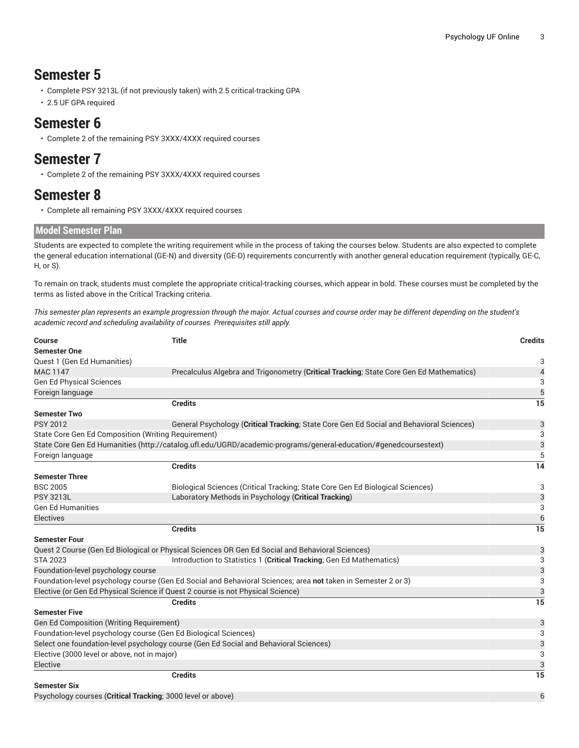### **Semester 5**

- Complete PSY 3213L (if not previously taken) with 2.5 critical-tracking GPA
- 2.5 UF GPA required

### **Semester 6**

• Complete 2 of the remaining PSY 3XXX/4XXX required courses

### **Semester 7**

• Complete 2 of the remaining PSY 3XXX/4XXX required courses

### **Semester 8**

• Complete all remaining PSY 3XXX/4XXX required courses

#### **Model Semester Plan**

Students are expected to complete the writing requirement while in the process of taking the courses below. Students are also expected to complete the general education international (GE-N) and diversity (GE-D) requirements concurrently with another general education requirement (typically, GE-C, H, or S).

To remain on track, students must complete the appropriate critical-tracking courses, which appear in bold. These courses must be completed by the terms as listed above in the Critical Tracking criteria.

This semester plan represents an example progression through the major. Actual courses and course order may be different depending on the student's *academic record and scheduling availability of courses. Prerequisites still apply.*

| <b>Title</b><br><b>Course</b>                                                         |                                                                                                                  |    |
|---------------------------------------------------------------------------------------|------------------------------------------------------------------------------------------------------------------|----|
| <b>Semester One</b>                                                                   |                                                                                                                  |    |
| Quest 1 (Gen Ed Humanities)                                                           |                                                                                                                  | 3  |
| <b>MAC 1147</b>                                                                       | Precalculus Algebra and Trigonometry (Critical Tracking; State Core Gen Ed Mathematics)                          | 4  |
| <b>Gen Ed Physical Sciences</b>                                                       |                                                                                                                  | 3  |
| Foreign language                                                                      |                                                                                                                  |    |
|                                                                                       | <b>Credits</b>                                                                                                   | 15 |
| <b>Semester Two</b>                                                                   |                                                                                                                  |    |
| <b>PSY 2012</b>                                                                       | General Psychology (Critical Tracking; State Core Gen Ed Social and Behavioral Sciences)                         | 3  |
| State Core Gen Ed Composition (Writing Requirement)                                   |                                                                                                                  | 3  |
|                                                                                       | State Core Gen Ed Humanities (http://catalog.ufl.edu/UGRD/academic-programs/general-education/#genedcoursestext) | 3  |
| Foreign language                                                                      |                                                                                                                  | 5  |
|                                                                                       | <b>Credits</b>                                                                                                   | 14 |
| <b>Semester Three</b>                                                                 |                                                                                                                  |    |
| <b>BSC 2005</b>                                                                       | Biological Sciences (Critical Tracking; State Core Gen Ed Biological Sciences)                                   | 3  |
| <b>PSY 3213L</b>                                                                      | Laboratory Methods in Psychology (Critical Tracking)                                                             | 3  |
| <b>Gen Ed Humanities</b>                                                              |                                                                                                                  | 3  |
| Electives                                                                             |                                                                                                                  | 6  |
|                                                                                       | <b>Credits</b>                                                                                                   | 15 |
| <b>Semester Four</b>                                                                  |                                                                                                                  |    |
|                                                                                       | Quest 2 Course (Gen Ed Biological or Physical Sciences OR Gen Ed Social and Behavioral Sciences)                 | 3  |
| <b>STA 2023</b>                                                                       | Introduction to Statistics 1 (Critical Tracking; Gen Ed Mathematics)                                             | 3  |
| Foundation-level psychology course                                                    |                                                                                                                  | 3  |
|                                                                                       | Foundation-level psychology course (Gen Ed Social and Behavioral Sciences; area not taken in Semester 2 or 3)    | 3  |
|                                                                                       | Elective (or Gen Ed Physical Science if Quest 2 course is not Physical Science)                                  | 3  |
|                                                                                       | <b>Credits</b>                                                                                                   | 15 |
| <b>Semester Five</b>                                                                  |                                                                                                                  |    |
| Gen Ed Composition (Writing Requirement)                                              |                                                                                                                  | 3  |
| Foundation-level psychology course (Gen Ed Biological Sciences)                       |                                                                                                                  | 3  |
| Select one foundation-level psychology course (Gen Ed Social and Behavioral Sciences) |                                                                                                                  | 3  |
| Elective (3000 level or above, not in major)                                          |                                                                                                                  |    |
| Elective                                                                              |                                                                                                                  | 3  |
|                                                                                       | <b>Credits</b>                                                                                                   | 15 |
| <b>Semester Six</b>                                                                   |                                                                                                                  |    |
| Psychology courses (Critical Tracking; 3000 level or above)                           |                                                                                                                  |    |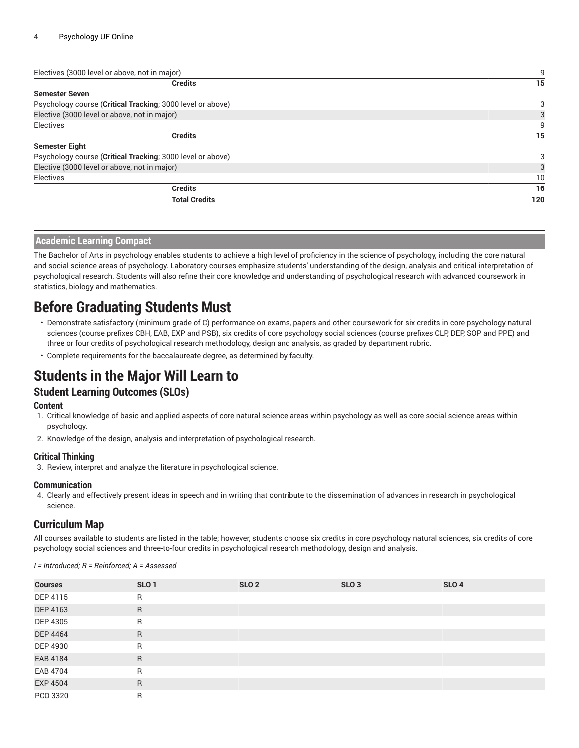| Electives (3000 level or above, not in major)              | 9   |
|------------------------------------------------------------|-----|
| <b>Credits</b>                                             | 15  |
| <b>Semester Seven</b>                                      |     |
| Psychology course (Critical Tracking; 3000 level or above) | 3   |
| Elective (3000 level or above, not in major)               | 3   |
| Electives                                                  | 9   |
| <b>Credits</b>                                             | 15  |
| <b>Semester Eight</b>                                      |     |
| Psychology course (Critical Tracking; 3000 level or above) | 3   |
| Elective (3000 level or above, not in major)               | 3   |
| Electives                                                  | 10  |
| <b>Credits</b>                                             | 16  |
| <b>Total Credits</b>                                       | 120 |

#### **Academic Learning Compact**

The Bachelor of Arts in psychology enables students to achieve a high level of proficiency in the science of psychology, including the core natural and social science areas of psychology. Laboratory courses emphasize students' understanding of the design, analysis and critical interpretation of psychological research. Students will also refine their core knowledge and understanding of psychological research with advanced coursework in statistics, biology and mathematics.

### **Before Graduating Students Must**

- Demonstrate satisfactory (minimum grade of C) performance on exams, papers and other coursework for six credits in core psychology natural sciences (course prefixes CBH, EAB, EXP and PSB), six credits of core psychology social sciences (course prefixes CLP, DEP, SOP and PPE) and three or four credits of psychological research methodology, design and analysis, as graded by department rubric.
- Complete requirements for the baccalaureate degree, as determined by faculty.

### **Students in the Major Will Learn to**

### **Student Learning Outcomes (SLOs)**

#### **Content**

- 1. Critical knowledge of basic and applied aspects of core natural science areas within psychology as well as core social science areas within psychology.
- 2. Knowledge of the design, analysis and interpretation of psychological research.

#### **Critical Thinking**

3. Review, interpret and analyze the literature in psychological science.

#### **Communication**

4. Clearly and effectively present ideas in speech and in writing that contribute to the dissemination of advances in research in psychological science.

#### **Curriculum Map**

All courses available to students are listed in the table; however, students choose six credits in core psychology natural sciences, six credits of core psychology social sciences and three-to-four credits in psychological research methodology, design and analysis.

| <b>Courses</b>  | SLO <sub>1</sub> | SLO <sub>2</sub> | SLO <sub>3</sub> | SLO <sub>4</sub> |
|-----------------|------------------|------------------|------------------|------------------|
| DEP 4115        | R                |                  |                  |                  |
| DEP 4163        | R                |                  |                  |                  |
| DEP 4305        | $\mathsf{R}$     |                  |                  |                  |
| <b>DEP 4464</b> | $\mathsf{R}$     |                  |                  |                  |
| DEP 4930        | $\mathsf{R}$     |                  |                  |                  |
| EAB 4184        | $\mathsf{R}$     |                  |                  |                  |
| EAB 4704        | R                |                  |                  |                  |
| <b>EXP 4504</b> | R                |                  |                  |                  |
| PCO 3320        | $\mathsf{R}$     |                  |                  |                  |

*I = Introduced; R = Reinforced; A = Assessed*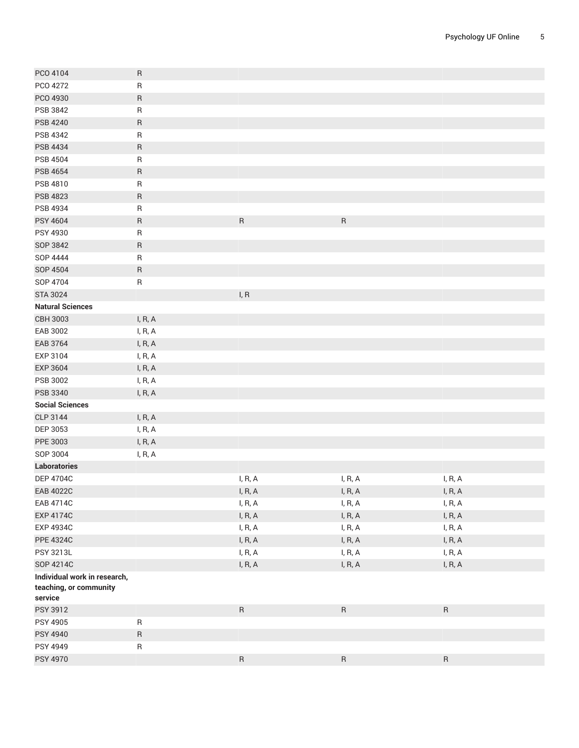| PCO 4104                                               | R         |           |           |           |
|--------------------------------------------------------|-----------|-----------|-----------|-----------|
| PCO 4272                                               | ${\sf R}$ |           |           |           |
| PCO 4930                                               | R         |           |           |           |
| PSB 3842                                               | $\sf R$   |           |           |           |
| <b>PSB 4240</b>                                        | ${\sf R}$ |           |           |           |
| PSB 4342                                               | R         |           |           |           |
| PSB 4434                                               | $\sf R$   |           |           |           |
| PSB 4504                                               | R         |           |           |           |
| <b>PSB 4654</b>                                        | R         |           |           |           |
| PSB 4810                                               | ${\sf R}$ |           |           |           |
| <b>PSB 4823</b>                                        | ${\sf R}$ |           |           |           |
| PSB 4934                                               | R         |           |           |           |
| <b>PSY 4604</b>                                        | $\sf R$   | ${\sf R}$ | ${\sf R}$ |           |
| PSY 4930                                               | ${\sf R}$ |           |           |           |
| SOP 3842                                               | R         |           |           |           |
| SOP 4444                                               | $\sf R$   |           |           |           |
| SOP 4504                                               | ${\sf R}$ |           |           |           |
| SOP 4704                                               | R         |           |           |           |
| <b>STA 3024</b>                                        |           | I, R      |           |           |
| <b>Natural Sciences</b>                                |           |           |           |           |
| CBH 3003                                               | I, R, A   |           |           |           |
| EAB 3002                                               | I, R, A   |           |           |           |
| EAB 3764                                               | I, R, A   |           |           |           |
| EXP 3104                                               | I, R, A   |           |           |           |
| <b>EXP 3604</b>                                        | I, R, A   |           |           |           |
| PSB 3002                                               | I, R, A   |           |           |           |
| PSB 3340                                               | I, R, A   |           |           |           |
| <b>Social Sciences</b>                                 |           |           |           |           |
| CLP 3144                                               | I, R, A   |           |           |           |
| DEP 3053                                               | I, R, A   |           |           |           |
| PPE 3003                                               | I, R, A   |           |           |           |
| SOP 3004                                               | I, R, A   |           |           |           |
| Laboratories                                           |           |           |           |           |
| <b>DEP 4704C</b>                                       |           | I, R, A   | I, R, A   | I, R, A   |
| <b>EAB 4022C</b>                                       |           | I, R, A   | I, R, A   | I, R, A   |
| EAB 4714C                                              |           | l, R, A   | l, R, A   | I, R, A   |
| <b>EXP 4174C</b>                                       |           | l, R, A   | l, R, A   | I, R, A   |
| <b>EXP 4934C</b>                                       |           | I, R, A   | l, R, A   | l, R, A   |
| <b>PPE 4324C</b>                                       |           | l, R, A   | l, R, A   | l, R, A   |
| PSY 3213L                                              |           | I, R, A   | l, R, A   | l, R, A   |
| SOP 4214C                                              |           | l, R, A   | l, R, A   | l, R, A   |
| Individual work in research,<br>teaching, or community |           |           |           |           |
| service                                                |           |           |           |           |
| PSY 3912                                               |           | ${\sf R}$ | $\sf R$   | ${\sf R}$ |
| PSY 4905                                               | ${\sf R}$ |           |           |           |
| <b>PSY 4940</b>                                        | ${\sf R}$ |           |           |           |
| PSY 4949                                               | R         |           |           |           |
| PSY 4970                                               |           | ${\sf R}$ | ${\sf R}$ | ${\sf R}$ |